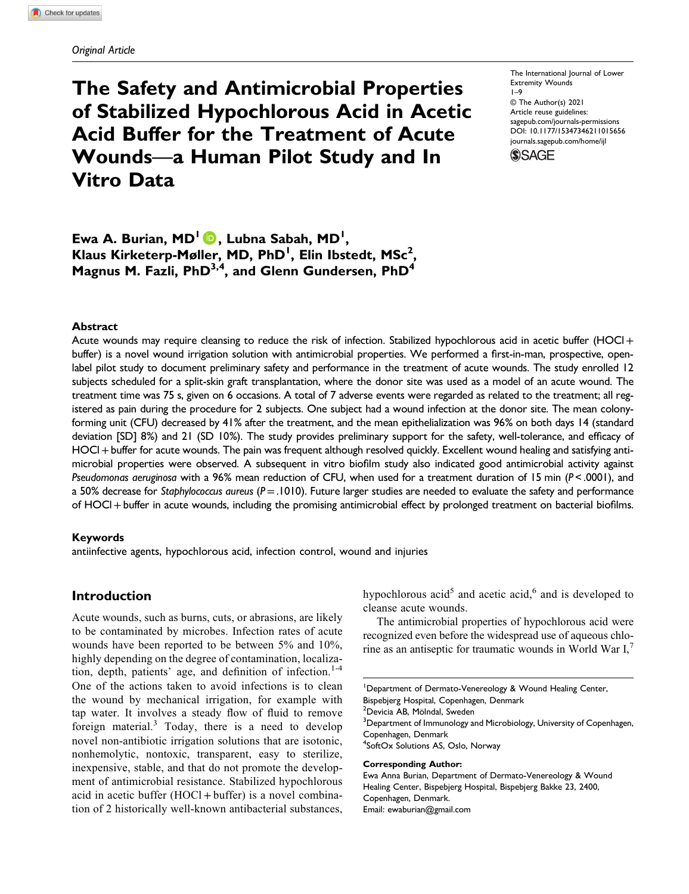# The Safety and Antimicrobial Properties of Stabilized Hypochlorous Acid in Acetic Acid Buffer for the Treatment of Acute Wounds—a Human Pilot Study and In Vitro Data

The International Journal of Lower Extremity Wounds 1–9 © The Author(s) 2021 Article reuse guidelines: [sagepub.com/journals-permissions](https://us.sagepub.com/en-us/journals-permissions) DOI: 10.1177/15347346211015656 [journals.sagepub.com/home/ijl](https://journals.sagepub.com/home/ijl)**SSAGE** 

Ewa A. Burian, MD<sup>1</sup> (D), Lubna Sabah, MD<sup>1</sup>, Klaus Kirketerp-Møller, MD, PhD<sup>I</sup>, Elin Ibstedt, MSc<sup>2</sup>, Magnus M. Fazli, PhD $^{3,4}$ , and Glenn Gundersen, PhD<sup>4</sup>

#### Abstract

Acute wounds may require cleansing to reduce the risk of infection. Stabilized hypochlorous acid in acetic buffer (HOCl + buffer) is a novel wound irrigation solution with antimicrobial properties. We performed a first-in-man, prospective, openlabel pilot study to document preliminary safety and performance in the treatment of acute wounds. The study enrolled 12 subjects scheduled for a split-skin graft transplantation, where the donor site was used as a model of an acute wound. The treatment time was 75 s, given on 6 occasions. A total of 7 adverse events were regarded as related to the treatment; all registered as pain during the procedure for 2 subjects. One subject had a wound infection at the donor site. The mean colonyforming unit (CFU) decreased by 41% after the treatment, and the mean epithelialization was 96% on both days 14 (standard deviation [SD] 8%) and 21 (SD 10%). The study provides preliminary support for the safety, well-tolerance, and efficacy of HOCl+buffer for acute wounds. The pain was frequent although resolved quickly. Excellent wound healing and satisfying antimicrobial properties were observed. A subsequent in vitro biofilm study also indicated good antimicrobial activity against Pseudomonas aeruginosa with a 96% mean reduction of CFU, when used for a treatment duration of 15 min ( $P < .0001$ ), and a 50% decrease for Staphylococcus aureus ( $P = .1010$ ). Future larger studies are needed to evaluate the safety and performance of HOCl+buffer in acute wounds, including the promising antimicrobial effect by prolonged treatment on bacterial biofilms.

## Keywords

antiinfective agents, hypochlorous acid, infection control, wound and injuries

# Introduction

Acute wounds, such as burns, cuts, or abrasions, are likely to be contaminated by microbes. Infection rates of acute wounds have been reported to be between 5% and 10%, highly depending on the degree of contamination, localization, depth, patients' age, and definition of infection.<sup>1-4</sup> One of the actions taken to avoid infections is to clean the wound by mechanical irrigation, for example with tap water. It involves a steady flow of fluid to remove foreign material.<sup>3</sup> Today, there is a need to develop novel non-antibiotic irrigation solutions that are isotonic, nonhemolytic, nontoxic, transparent, easy to sterilize, inexpensive, stable, and that do not promote the development of antimicrobial resistance. Stabilized hypochlorous acid in acetic buffer  $(HOCl + buffer)$  is a novel combination of 2 historically well-known antibacterial substances, hypochlorous acid<sup>5</sup> and acetic acid,<sup>6</sup> and is developed to cleanse acute wounds.

The antimicrobial properties of hypochlorous acid were recognized even before the widespread use of aqueous chlorine as an antiseptic for traumatic wounds in World War I,

<sup>1</sup>Department of Dermato-Venereology & Wound Healing Center, Bispebjerg Hospital, Copenhagen, Denmark 2 Devicia AB, Mölndal, Sweden  $^3$ Department of Immunology and Microbiology, University of Copenhagen, Copenhagen, Denmark 4 SoftOx Solutions AS, Oslo, Norway Corresponding Author: Ewa Anna Burian, Department of Dermato-Venereology & Wound

Healing Center, Bispebjerg Hospital, Bispebjerg Bakke 23, 2400, Copenhagen, Denmark. Email: [ewaburian@gmail.com](mailto:ewaburian@gmail.com)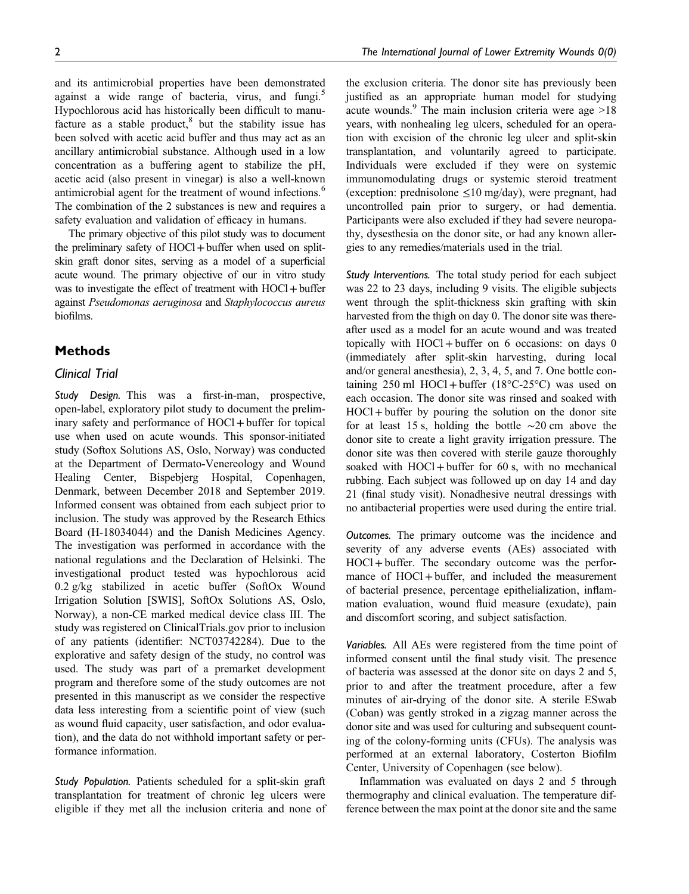and its antimicrobial properties have been demonstrated against a wide range of bacteria, virus, and fungi.<sup>5</sup> Hypochlorous acid has historically been difficult to manufacture as a stable product, $8$  but the stability issue has been solved with acetic acid buffer and thus may act as an ancillary antimicrobial substance. Although used in a low concentration as a buffering agent to stabilize the pH, acetic acid (also present in vinegar) is also a well-known antimicrobial agent for the treatment of wound infections.<sup>6</sup> The combination of the 2 substances is new and requires a safety evaluation and validation of efficacy in humans.

The primary objective of this pilot study was to document the preliminary safety of HOCl+buffer when used on splitskin graft donor sites, serving as a model of a superficial acute wound. The primary objective of our in vitro study was to investigate the effect of treatment with HOCl + buffer against Pseudomonas aeruginosa and Staphylococcus aureus biofilms.

## Methods

## Clinical Trial

Study Design. This was a first-in-man, prospective, open-label, exploratory pilot study to document the preliminary safety and performance of HOCl + buffer for topical use when used on acute wounds. This sponsor-initiated study (Softox Solutions AS, Oslo, Norway) was conducted at the Department of Dermato-Venereology and Wound Healing Center, Bispebjerg Hospital, Copenhagen, Denmark, between December 2018 and September 2019. Informed consent was obtained from each subject prior to inclusion. The study was approved by the Research Ethics Board (H-18034044) and the Danish Medicines Agency. The investigation was performed in accordance with the national regulations and the Declaration of Helsinki. The investigational product tested was hypochlorous acid 0.2 g/kg stabilized in acetic buffer (SoftOx Wound Irrigation Solution [SWIS], SoftOx Solutions AS, Oslo, Norway), a non-CE marked medical device class III. The study was registered on ClinicalTrials.gov prior to inclusion of any patients (identifier: NCT03742284). Due to the explorative and safety design of the study, no control was used. The study was part of a premarket development program and therefore some of the study outcomes are not presented in this manuscript as we consider the respective data less interesting from a scientific point of view (such as wound fluid capacity, user satisfaction, and odor evaluation), and the data do not withhold important safety or performance information.

Study Population. Patients scheduled for a split-skin graft transplantation for treatment of chronic leg ulcers were eligible if they met all the inclusion criteria and none of

the exclusion criteria. The donor site has previously been justified as an appropriate human model for studying acute wounds.<sup>9</sup> The main inclusion criteria were age  $>18$ years, with nonhealing leg ulcers, scheduled for an operation with excision of the chronic leg ulcer and split-skin transplantation, and voluntarily agreed to participate. Individuals were excluded if they were on systemic immunomodulating drugs or systemic steroid treatment (exception: prednisolone  $\leq 10$  mg/day), were pregnant, had uncontrolled pain prior to surgery, or had dementia. Participants were also excluded if they had severe neuropathy, dysesthesia on the donor site, or had any known allergies to any remedies/materials used in the trial.

Study Interventions. The total study period for each subject was 22 to 23 days, including 9 visits. The eligible subjects went through the split-thickness skin grafting with skin harvested from the thigh on day 0. The donor site was thereafter used as a model for an acute wound and was treated topically with  $H OCl + buffer$  on 6 occasions: on days 0 (immediately after split-skin harvesting, during local and/or general anesthesia), 2, 3, 4, 5, and 7. One bottle containing  $250$  ml HOCl + buffer (18 $\textdegree$ C-25 $\textdegree$ C) was used on each occasion. The donor site was rinsed and soaked with HOCl+buffer by pouring the solution on the donor site for at least 15 s, holding the bottle ∼20 cm above the donor site to create a light gravity irrigation pressure. The donor site was then covered with sterile gauze thoroughly soaked with  $HOCl + buffer$  for 60 s, with no mechanical rubbing. Each subject was followed up on day 14 and day 21 (final study visit). Nonadhesive neutral dressings with no antibacterial properties were used during the entire trial.

Outcomes. The primary outcome was the incidence and severity of any adverse events (AEs) associated with HOCl+buffer. The secondary outcome was the performance of HOCl + buffer, and included the measurement of bacterial presence, percentage epithelialization, inflammation evaluation, wound fluid measure (exudate), pain and discomfort scoring, and subject satisfaction.

Variables. All AEs were registered from the time point of informed consent until the final study visit. The presence of bacteria was assessed at the donor site on days 2 and 5, prior to and after the treatment procedure, after a few minutes of air-drying of the donor site. A sterile ESwab (Coban) was gently stroked in a zigzag manner across the donor site and was used for culturing and subsequent counting of the colony-forming units (CFUs). The analysis was performed at an external laboratory, Costerton Biofilm Center, University of Copenhagen (see below).

Inflammation was evaluated on days 2 and 5 through thermography and clinical evaluation. The temperature difference between the max point at the donor site and the same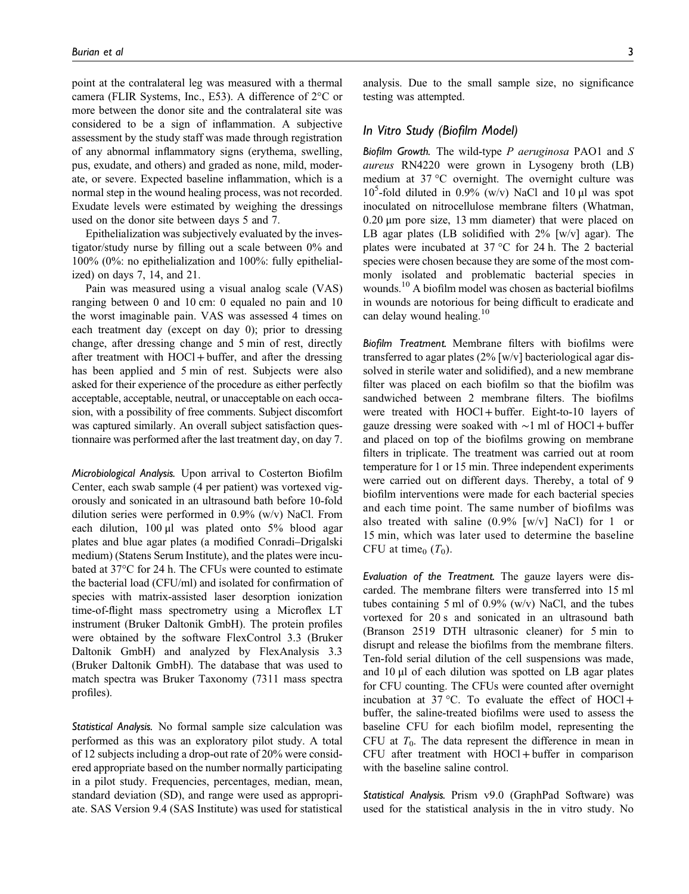point at the contralateral leg was measured with a thermal camera (FLIR Systems, Inc., E53). A difference of 2°C or more between the donor site and the contralateral site was considered to be a sign of inflammation. A subjective assessment by the study staff was made through registration of any abnormal inflammatory signs (erythema, swelling, pus, exudate, and others) and graded as none, mild, moderate, or severe. Expected baseline inflammation, which is a normal step in the wound healing process, was not recorded. Exudate levels were estimated by weighing the dressings used on the donor site between days 5 and 7.

Epithelialization was subjectively evaluated by the investigator/study nurse by filling out a scale between 0% and 100% (0%: no epithelialization and 100%: fully epithelialized) on days 7, 14, and 21.

Pain was measured using a visual analog scale (VAS) ranging between 0 and 10 cm: 0 equaled no pain and 10 the worst imaginable pain. VAS was assessed 4 times on each treatment day (except on day 0); prior to dressing change, after dressing change and 5 min of rest, directly after treatment with HOCl+buffer, and after the dressing has been applied and 5 min of rest. Subjects were also asked for their experience of the procedure as either perfectly acceptable, acceptable, neutral, or unacceptable on each occasion, with a possibility of free comments. Subject discomfort was captured similarly. An overall subject satisfaction questionnaire was performed after the last treatment day, on day 7.

Microbiological Analysis. Upon arrival to Costerton Biofilm Center, each swab sample (4 per patient) was vortexed vigorously and sonicated in an ultrasound bath before 10-fold dilution series were performed in  $0.9\%$  (w/v) NaCl. From each dilution, 100 μl was plated onto 5% blood agar plates and blue agar plates (a modified Conradi–Drigalski medium) (Statens Serum Institute), and the plates were incubated at 37°C for 24 h. The CFUs were counted to estimate the bacterial load (CFU/ml) and isolated for confirmation of species with matrix-assisted laser desorption ionization time-of-flight mass spectrometry using a Microflex LT instrument (Bruker Daltonik GmbH). The protein profiles were obtained by the software FlexControl 3.3 (Bruker Daltonik GmbH) and analyzed by FlexAnalysis 3.3 (Bruker Daltonik GmbH). The database that was used to match spectra was Bruker Taxonomy (7311 mass spectra profiles).

Statistical Analysis. No formal sample size calculation was performed as this was an exploratory pilot study. A total of 12 subjects including a drop-out rate of 20% were considered appropriate based on the number normally participating in a pilot study. Frequencies, percentages, median, mean, standard deviation (SD), and range were used as appropriate. SAS Version 9.4 (SAS Institute) was used for statistical

analysis. Due to the small sample size, no significance testing was attempted.

## In Vitro Study (Biofilm Model)

Biofilm Growth. The wild-type  $P$  aeruginosa PAO1 and  $S$ aureus RN4220 were grown in Lysogeny broth (LB) medium at 37 °C overnight. The overnight culture was 10<sup>5</sup>-fold diluted in 0.9% (w/v) NaCl and 10 μl was spot inoculated on nitrocellulose membrane filters (Whatman, 0.20 μm pore size, 13 mm diameter) that were placed on LB agar plates (LB solidified with  $2\%$  [w/v] agar). The plates were incubated at 37 °C for 24 h. The 2 bacterial species were chosen because they are some of the most commonly isolated and problematic bacterial species in wounds.<sup>10</sup> A biofilm model was chosen as bacterial biofilms in wounds are notorious for being difficult to eradicate and can delay wound healing.<sup>10</sup>

Biofilm Treatment. Membrane filters with biofilms were transferred to agar plates (2% [w/v] bacteriological agar dissolved in sterile water and solidified), and a new membrane filter was placed on each biofilm so that the biofilm was sandwiched between 2 membrane filters. The biofilms were treated with HOCl+buffer. Eight-to-10 layers of gauze dressing were soaked with ∼1 ml of HOCl +buffer and placed on top of the biofilms growing on membrane filters in triplicate. The treatment was carried out at room temperature for 1 or 15 min. Three independent experiments were carried out on different days. Thereby, a total of 9 biofilm interventions were made for each bacterial species and each time point. The same number of biofilms was also treated with saline  $(0.9\%$  [w/v] NaCl) for 1 or 15 min, which was later used to determine the baseline CFU at time $_0$  ( $T_0$ ).

Evaluation of the Treatment. The gauze layers were discarded. The membrane filters were transferred into 15 ml tubes containing 5 ml of  $0.9\%$  (w/v) NaCl, and the tubes vortexed for 20 s and sonicated in an ultrasound bath (Branson 2519 DTH ultrasonic cleaner) for 5 min to disrupt and release the biofilms from the membrane filters. Ten-fold serial dilution of the cell suspensions was made, and 10 μl of each dilution was spotted on LB agar plates for CFU counting. The CFUs were counted after overnight incubation at 37 °C. To evaluate the effect of  $HOCl +$ buffer, the saline-treated biofilms were used to assess the baseline CFU for each biofilm model, representing the CFU at  $T_0$ . The data represent the difference in mean in CFU after treatment with  $HOCl + buffer$  in comparison with the baseline saline control.

Statistical Analysis. Prism v9.0 (GraphPad Software) was used for the statistical analysis in the in vitro study. No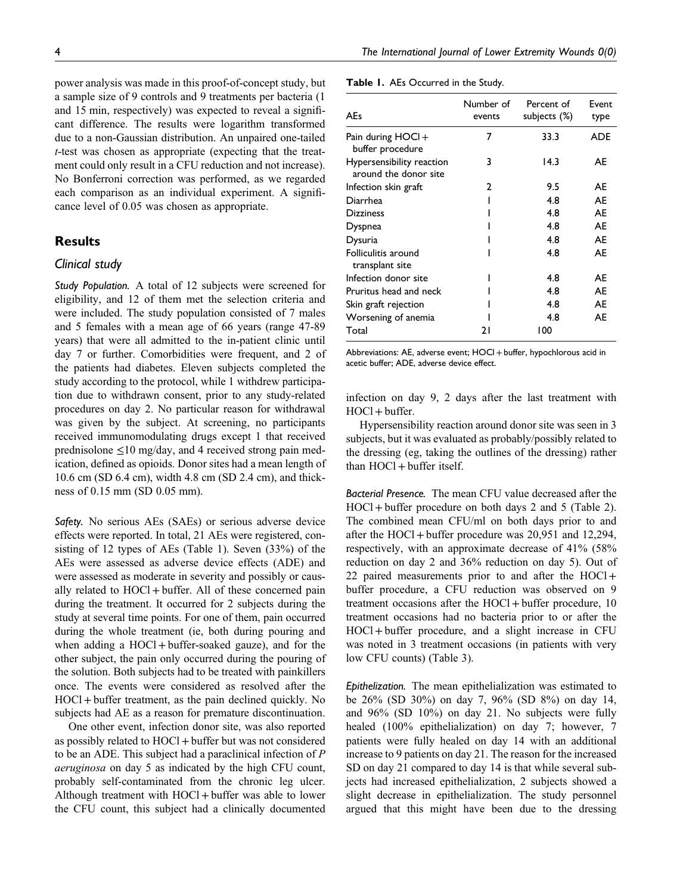power analysis was made in this proof-of-concept study, but a sample size of 9 controls and 9 treatments per bacteria (1 and 15 min, respectively) was expected to reveal a significant difference. The results were logarithm transformed due to a non-Gaussian distribution. An unpaired one-tailed t-test was chosen as appropriate (expecting that the treatment could only result in a CFU reduction and not increase). No Bonferroni correction was performed, as we regarded each comparison as an individual experiment. A significance level of 0.05 was chosen as appropriate.

# **Results**

## Clinical study

Study Population. A total of 12 subjects were screened for eligibility, and 12 of them met the selection criteria and were included. The study population consisted of 7 males and 5 females with a mean age of 66 years (range 47-89 years) that were all admitted to the in-patient clinic until day 7 or further. Comorbidities were frequent, and 2 of the patients had diabetes. Eleven subjects completed the study according to the protocol, while 1 withdrew participation due to withdrawn consent, prior to any study-related procedures on day 2. No particular reason for withdrawal was given by the subject. At screening, no participants received immunomodulating drugs except 1 that received prednisolone  $\leq 10$  mg/day, and 4 received strong pain medication, defined as opioids. Donor sites had a mean length of 10.6 cm (SD 6.4 cm), width 4.8 cm (SD 2.4 cm), and thickness of 0.15 mm (SD 0.05 mm).

Safety. No serious AEs (SAEs) or serious adverse device effects were reported. In total, 21 AEs were registered, consisting of 12 types of AEs (Table 1). Seven (33%) of the AEs were assessed as adverse device effects (ADE) and were assessed as moderate in severity and possibly or causally related to  $HOCI + buffer$ . All of these concerned pain during the treatment. It occurred for 2 subjects during the study at several time points. For one of them, pain occurred during the whole treatment (ie, both during pouring and when adding a  $HOCl + buffer$ -soaked gauze), and for the other subject, the pain only occurred during the pouring of the solution. Both subjects had to be treated with painkillers once. The events were considered as resolved after the HOCl+buffer treatment, as the pain declined quickly. No subjects had AE as a reason for premature discontinuation.

One other event, infection donor site, was also reported as possibly related to HOCl+buffer but was not considered to be an ADE. This subject had a paraclinical infection of P aeruginosa on day 5 as indicated by the high CFU count, probably self-contaminated from the chronic leg ulcer. Although treatment with  $HOCl +$  buffer was able to lower the CFU count, this subject had a clinically documented

| Table 1. AEs Occurred in the Study. |  |  |  |
|-------------------------------------|--|--|--|
|-------------------------------------|--|--|--|

| <b>AEs</b>                                         | Number of<br>events | Percent of<br>subjects (%) | Event<br>type |
|----------------------------------------------------|---------------------|----------------------------|---------------|
| Pain during $HOCI +$<br>buffer procedure           | 7                   | 33.3                       | <b>ADE</b>    |
| Hypersensibility reaction<br>around the donor site | 3                   | 14.3                       | AE            |
| Infection skin graft                               | 2                   | 9.5                        | AE            |
| Diarrhea                                           |                     | 4.8                        | AE            |
| <b>Dizziness</b>                                   |                     | 4.8                        | AE            |
| <b>Dyspnea</b>                                     |                     | 4.8                        | AE            |
| Dysuria                                            |                     | 4.8                        | AE            |
| Folliculitis around<br>transplant site             |                     | 4.8                        | AE            |
| Infection donor site                               |                     | 4.8                        | AE            |
| Pruritus head and neck                             |                     | 4.8                        | AE            |
| Skin graft rejection                               |                     | 4.8                        | AE            |
| Worsening of anemia                                |                     | 4.8                        | AE            |
| Total                                              | 21                  | 100                        |               |

Abbreviations: AE, adverse event; HOCl + buffer, hypochlorous acid in acetic buffer; ADE, adverse device effect.

infection on day 9, 2 days after the last treatment with HOCl+buffer.

Hypersensibility reaction around donor site was seen in 3 subjects, but it was evaluated as probably/possibly related to the dressing (eg, taking the outlines of the dressing) rather than  $HOC1 + buffer$  itself.

Bacterial Presence. The mean CFU value decreased after the HOCl+buffer procedure on both days 2 and 5 (Table 2). The combined mean CFU/ml on both days prior to and after the HOCl +buffer procedure was 20,951 and 12,294, respectively, with an approximate decrease of 41% (58% reduction on day 2 and 36% reduction on day 5). Out of 22 paired measurements prior to and after the HOCl+ buffer procedure, a CFU reduction was observed on 9 treatment occasions after the HOCl +buffer procedure, 10 treatment occasions had no bacteria prior to or after the HOCl+buffer procedure, and a slight increase in CFU was noted in 3 treatment occasions (in patients with very low CFU counts) (Table 3).

Epithelization. The mean epithelialization was estimated to be 26% (SD 30%) on day 7, 96% (SD 8%) on day 14, and 96% (SD 10%) on day 21. No subjects were fully healed (100% epithelialization) on day 7; however, 7 patients were fully healed on day 14 with an additional increase to 9 patients on day 21. The reason for the increased SD on day 21 compared to day 14 is that while several subjects had increased epithelialization, 2 subjects showed a slight decrease in epithelialization. The study personnel argued that this might have been due to the dressing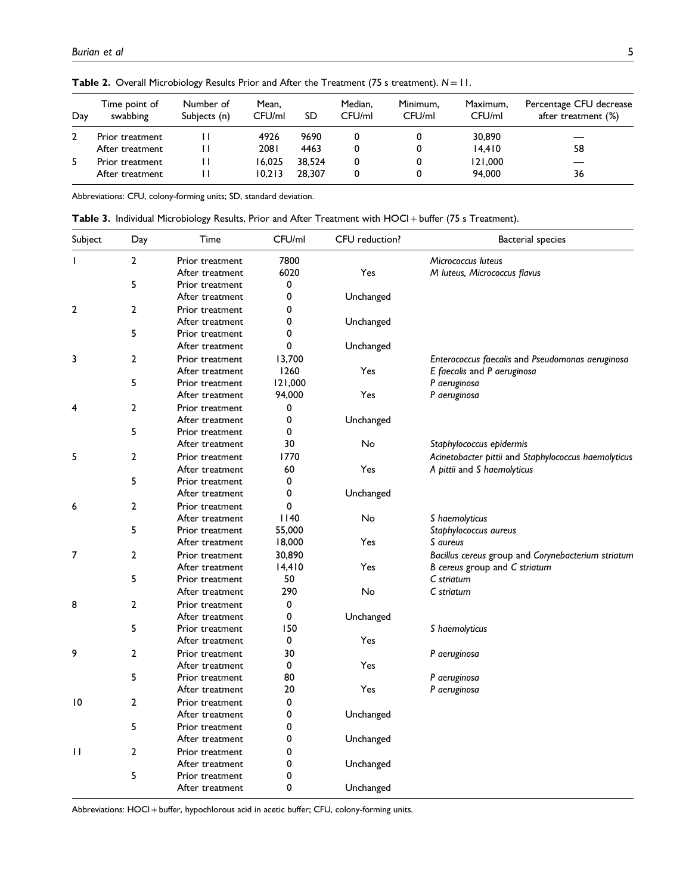| Day | Time point of<br>swabbing | Number of<br>Subjects (n) | Mean.<br>CFU/ml | SD     | Median.<br>CFU/ml | Minimum,<br>CFU/ml | Maximum,<br>CFU/ml | Percentage CFU decrease<br>after treatment (%) |
|-----|---------------------------|---------------------------|-----------------|--------|-------------------|--------------------|--------------------|------------------------------------------------|
|     | Prior treatment           |                           | 4926            | 9690   |                   |                    | 30,890             |                                                |
|     | After treatment           |                           | 2081            | 4463   |                   |                    | 14.410             | 58                                             |
| 5   | Prior treatment           |                           | 16.025          | 38.524 |                   |                    | 121.000            |                                                |
|     | After treatment           |                           | 10.213          | 28.307 |                   |                    | 94,000             | 36                                             |

Table 2. Overall Microbiology Results Prior and After the Treatment (75 s treatment).  $N = 11$ .

Abbreviations: CFU, colony-forming units; SD, standard deviation.

Table 3. Individual Microbiology Results, Prior and After Treatment with HOCl + buffer (75 s Treatment).

| Subject         | Day            | Time                               | CFU/ml  | CFU reduction? | <b>Bacterial species</b>                             |
|-----------------|----------------|------------------------------------|---------|----------------|------------------------------------------------------|
| $\mathbf{I}$    | $\overline{2}$ | Prior treatment                    | 7800    |                | Micrococcus luteus                                   |
|                 |                | After treatment                    | 6020    | Yes            | M luteus, Micrococcus flavus                         |
|                 | 5              | Prior treatment                    | 0       |                |                                                      |
|                 |                | After treatment                    | 0       | Unchanged      |                                                      |
| 2               | $\overline{2}$ | Prior treatment                    | 0       |                |                                                      |
|                 |                | After treatment                    | 0       | Unchanged      |                                                      |
|                 | 5              | Prior treatment                    | 0       |                |                                                      |
|                 |                | After treatment                    | 0       | Unchanged      |                                                      |
| 3               | $\overline{2}$ | Prior treatment                    | 13,700  |                | Enterococcus faecalis and Pseudomonas aeruginosa     |
|                 |                | After treatment                    | 1260    | Yes            | E faecalis and P aeruginosa                          |
|                 | 5              | Prior treatment                    | 121,000 |                | P aeruginosa                                         |
|                 |                | After treatment                    | 94,000  | Yes            | P aeruginosa                                         |
| 4               | $\overline{2}$ | Prior treatment                    | 0       |                |                                                      |
|                 |                | After treatment                    | 0       | Unchanged      |                                                      |
|                 | 5              | Prior treatment                    | 0       |                |                                                      |
|                 |                | After treatment                    | 30      | No             | Staphylococcus epidermis                             |
| 5               | $\overline{2}$ | Prior treatment                    | 1770    |                | Acinetobacter pittii and Staphylococcus haemolyticus |
|                 |                | After treatment                    | 60      | Yes            | A pittii and S haemolyticus                          |
|                 | 5              | Prior treatment                    | 0       |                |                                                      |
|                 |                | After treatment                    | 0       | Unchanged      |                                                      |
| 6               | $\overline{2}$ | Prior treatment                    | 0       |                |                                                      |
|                 |                | After treatment                    | 1140    | No             | S haemolyticus                                       |
|                 | 5              | Prior treatment                    | 55,000  |                | Staphylococcus aureus                                |
|                 |                | After treatment                    | 18,000  | Yes            | S aureus                                             |
| 7               | 2              | Prior treatment                    | 30,890  |                | Bacillus cereus group and Corynebacterium striatum   |
|                 |                | After treatment                    | 14,410  | Yes            | B cereus group and C striatum                        |
|                 | 5              | Prior treatment                    | 50      |                | C striatum                                           |
|                 |                | After treatment                    | 290     | No             | C striatum                                           |
| 8               | $\overline{2}$ | Prior treatment                    | 0       |                |                                                      |
|                 |                | After treatment                    | 0       | Unchanged      |                                                      |
|                 | 5              | Prior treatment                    | 150     |                | S haemolyticus                                       |
|                 |                | After treatment                    | 0       | Yes            |                                                      |
| 9               | $\overline{2}$ | Prior treatment                    | 30      |                | P aeruginosa                                         |
|                 |                | After treatment                    | 0       | Yes            |                                                      |
|                 | 5              | Prior treatment                    | 80      |                | P aeruginosa                                         |
|                 |                | After treatment                    | 20      | Yes            | P aeruginosa                                         |
| $\overline{10}$ | $\overline{2}$ | Prior treatment                    | 0       |                |                                                      |
|                 |                | After treatment                    | 0       | Unchanged      |                                                      |
|                 | 5              | Prior treatment                    | 0       |                |                                                      |
|                 |                | After treatment                    | 0       | Unchanged      |                                                      |
| $\mathbf{H}$    | 2              |                                    | 0       |                |                                                      |
|                 |                | Prior treatment                    |         |                |                                                      |
|                 | 5              | After treatment<br>Prior treatment | 0<br>0  | Unchanged      |                                                      |
|                 |                | After treatment                    | 0       |                |                                                      |
|                 |                |                                    |         | Unchanged      |                                                      |

Abbreviations: HOCl + buffer, hypochlorous acid in acetic buffer; CFU, colony-forming units.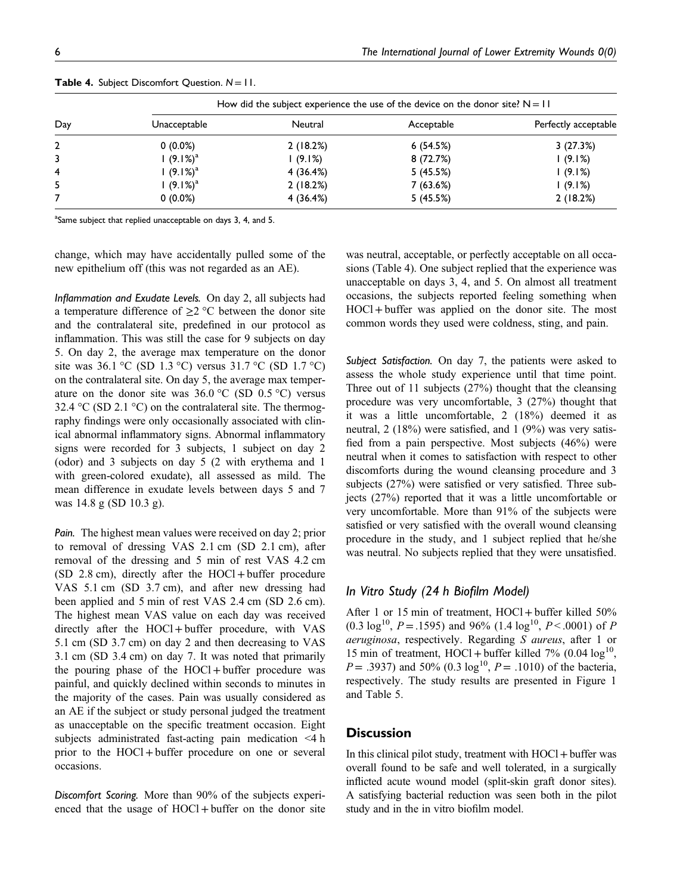|     | How did the subject experience the use of the device on the donor site? $N = 11$ |           |            |                      |  |  |
|-----|----------------------------------------------------------------------------------|-----------|------------|----------------------|--|--|
| Day | Unacceptable                                                                     | Neutral   | Acceptable | Perfectly acceptable |  |  |
| 2   | $0(0.0\%)$                                                                       | 2(18.2%)  | 6(54.5%)   | 3(27.3%)             |  |  |
|     | $(9.1\%)^a$                                                                      | 1(9.1%)   | 8 (72.7%)  | 1(9.1%)              |  |  |
| 4   | $(9.1\%)^a$                                                                      | 4 (36.4%) | 5(45.5%)   | 1(9.1%)              |  |  |
|     | $(9.1\%)^a$                                                                      | 2(18.2%)  | 7(63.6%)   | 1(9.1%)              |  |  |
|     | $0(0.0\%)$                                                                       | 4 (36.4%) | 5(45.5%)   | 2(18.2%)             |  |  |

<sup>a</sup>Same subject that replied unacceptable on days 3, 4, and 5.

change, which may have accidentally pulled some of the new epithelium off (this was not regarded as an AE).

Inflammation and Exudate Levels. On day 2, all subjects had a temperature difference of  $\geq$  2 °C between the donor site and the contralateral site, predefined in our protocol as inflammation. This was still the case for 9 subjects on day 5. On day 2, the average max temperature on the donor site was  $36.1 \text{ °C}$  (SD  $1.3 \text{ °C}$ ) versus  $31.7 \text{ °C}$  (SD  $1.7 \text{ °C}$ ) on the contralateral site. On day 5, the average max temperature on the donor site was  $36.0 \degree C$  (SD 0.5  $\degree C$ ) versus 32.4  $\rm{°C}$  (SD 2.1  $\rm{°C}$ ) on the contralateral site. The thermography findings were only occasionally associated with clinical abnormal inflammatory signs. Abnormal inflammatory signs were recorded for 3 subjects, 1 subject on day 2 (odor) and 3 subjects on day 5 (2 with erythema and 1 with green-colored exudate), all assessed as mild. The mean difference in exudate levels between days 5 and 7 was 14.8 g (SD 10.3 g).

Pain. The highest mean values were received on day 2; prior to removal of dressing VAS 2.1 cm (SD 2.1 cm), after removal of the dressing and 5 min of rest VAS 4.2 cm  $(SD 2.8 cm)$ , directly after the HOCl + buffer procedure VAS 5.1 cm (SD 3.7 cm), and after new dressing had been applied and 5 min of rest VAS 2.4 cm (SD 2.6 cm). The highest mean VAS value on each day was received directly after the HOCl+buffer procedure, with VAS 5.1 cm (SD 3.7 cm) on day 2 and then decreasing to VAS 3.1 cm (SD 3.4 cm) on day 7. It was noted that primarily the pouring phase of the  $HOCl + buffer$  procedure was painful, and quickly declined within seconds to minutes in the majority of the cases. Pain was usually considered as an AE if the subject or study personal judged the treatment as unacceptable on the specific treatment occasion. Eight subjects administrated fast-acting pain medication <4 h prior to the HOCl +buffer procedure on one or several occasions.

Discomfort Scoring. More than 90% of the subjects experienced that the usage of  $HOCl + buffer$  on the donor site was neutral, acceptable, or perfectly acceptable on all occasions (Table 4). One subject replied that the experience was unacceptable on days 3, 4, and 5. On almost all treatment occasions, the subjects reported feeling something when HOCl+buffer was applied on the donor site. The most common words they used were coldness, sting, and pain.

Subject Satisfaction. On day 7, the patients were asked to assess the whole study experience until that time point. Three out of 11 subjects (27%) thought that the cleansing procedure was very uncomfortable, 3 (27%) thought that it was a little uncomfortable, 2 (18%) deemed it as neutral, 2 (18%) were satisfied, and 1 (9%) was very satisfied from a pain perspective. Most subjects (46%) were neutral when it comes to satisfaction with respect to other discomforts during the wound cleansing procedure and 3 subjects (27%) were satisfied or very satisfied. Three subjects (27%) reported that it was a little uncomfortable or very uncomfortable. More than 91% of the subjects were satisfied or very satisfied with the overall wound cleansing procedure in the study, and 1 subject replied that he/she was neutral. No subjects replied that they were unsatisfied.

# In Vitro Study (24 h Biofilm Model)

After 1 or 15 min of treatment, HOCl + buffer killed 50%  $(0.3 \log^{10}, P = .1595)$  and 96%  $(1.4 \log^{10}, P < .0001)$  of P aeruginosa, respectively. Regarding S aureus, after 1 or 15 min of treatment, HOCl + buffer killed  $7\%$  (0.04  $\log^{10}$ ,  $P = .3937$ ) and 50% (0.3 log<sup>10</sup>,  $P = .1010$ ) of the bacteria, respectively. The study results are presented in Figure 1 and Table 5.

# **Discussion**

In this clinical pilot study, treatment with  $HOCl +$  buffer was overall found to be safe and well tolerated, in a surgically inflicted acute wound model (split-skin graft donor sites). A satisfying bacterial reduction was seen both in the pilot study and in the in vitro biofilm model.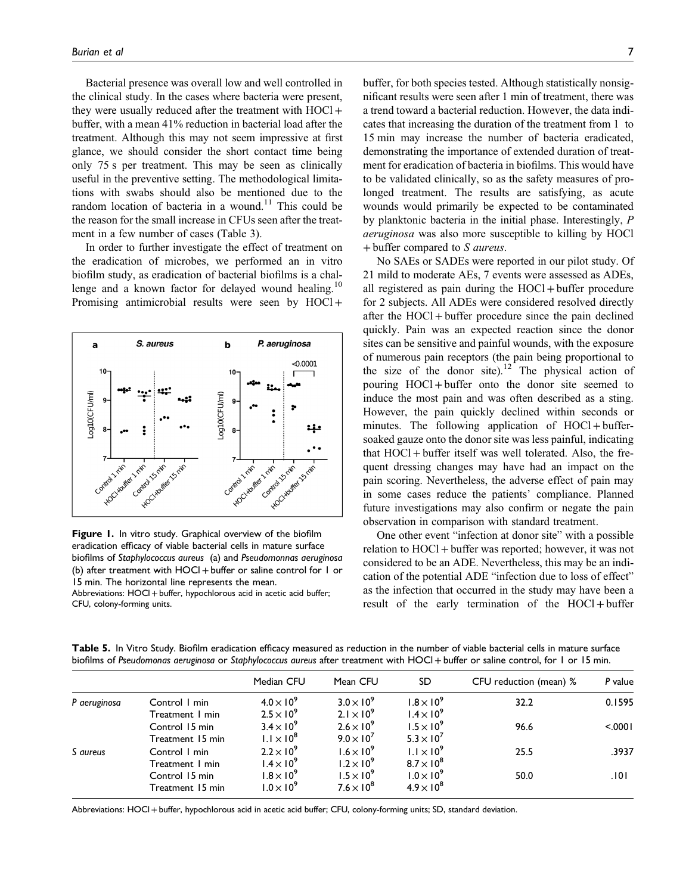Bacterial presence was overall low and well controlled in the clinical study. In the cases where bacteria were present, they were usually reduced after the treatment with HOCl + buffer, with a mean 41% reduction in bacterial load after the treatment. Although this may not seem impressive at first glance, we should consider the short contact time being only 75 s per treatment. This may be seen as clinically useful in the preventive setting. The methodological limitations with swabs should also be mentioned due to the random location of bacteria in a wound.<sup>11</sup> This could be the reason for the small increase in CFUs seen after the treatment in a few number of cases (Table 3).

In order to further investigate the effect of treatment on the eradication of microbes, we performed an in vitro biofilm study, as eradication of bacterial biofilms is a challenge and a known factor for delayed wound healing.<sup>10</sup> Promising antimicrobial results were seen by HOCl +



**Figure 1.** In vitro study. Graphical overview of the biofilm eradication efficacy of viable bacterial cells in mature surface biofilms of Staphylococcus aureus (a) and Pseudomonnas aeruginosa (b) after treatment with  $HOCl + \text{buffer}$  or saline control for 1 or 15 min. The horizontal line represents the mean. Abbreviations: HOCl + buffer, hypochlorous acid in acetic acid buffer; CFU, colony-forming units.

buffer, for both species tested. Although statistically nonsignificant results were seen after 1 min of treatment, there was a trend toward a bacterial reduction. However, the data indicates that increasing the duration of the treatment from 1 to 15 min may increase the number of bacteria eradicated, demonstrating the importance of extended duration of treatment for eradication of bacteria in biofilms. This would have to be validated clinically, so as the safety measures of prolonged treatment. The results are satisfying, as acute wounds would primarily be expected to be contaminated by planktonic bacteria in the initial phase. Interestingly, P aeruginosa was also more susceptible to killing by HOCl +buffer compared to S aureus.

No SAEs or SADEs were reported in our pilot study. Of 21 mild to moderate AEs, 7 events were assessed as ADEs, all registered as pain during the  $HOCl + buffer$  procedure for 2 subjects. All ADEs were considered resolved directly after the HOCl +buffer procedure since the pain declined quickly. Pain was an expected reaction since the donor sites can be sensitive and painful wounds, with the exposure of numerous pain receptors (the pain being proportional to the size of the donor site).<sup>12</sup> The physical action of pouring HOCl +buffer onto the donor site seemed to induce the most pain and was often described as a sting. However, the pain quickly declined within seconds or minutes. The following application of  $HOCl + buffer$ soaked gauze onto the donor site was less painful, indicating that HOCl +buffer itself was well tolerated. Also, the frequent dressing changes may have had an impact on the pain scoring. Nevertheless, the adverse effect of pain may in some cases reduce the patients' compliance. Planned future investigations may also confirm or negate the pain observation in comparison with standard treatment.

One other event "infection at donor site" with a possible relation to HOCl +buffer was reported; however, it was not considered to be an ADE. Nevertheless, this may be an indication of the potential ADE "infection due to loss of effect" as the infection that occurred in the study may have been a result of the early termination of the HOCl + buffer

Table 5. In Vitro Study. Biofilm eradication efficacy measured as reduction in the number of viable bacterial cells in mature surface biofilms of Pseudomonas aeruginosa or Staphylococcus aureus after treatment with HOCl+buffer or saline control, for 1 or 15 min.

|              |                  | Median CFU          | Mean CFU            | SD                  | CFU reduction (mean) % | P value |
|--------------|------------------|---------------------|---------------------|---------------------|------------------------|---------|
| P aeruginosa | Control I min    | $4.0 \times 10^{9}$ | $3.0 \times 10^9$   | $1.8 \times 10^9$   | 32.2                   | 0.1595  |
|              | Treatment 1 min  | $2.5 \times 10^9$   | $2.1 \times 10^9$   | $1.4 \times 10^{9}$ |                        |         |
|              | Control 15 min   | $3.4 \times 10^9$   | $2.6 \times 10^{9}$ | $1.5 \times 10^9$   | 96.6                   | < 0001  |
|              | Treatment 15 min | $1.1 \times 10^8$   | $9.0 \times 10^7$   | $5.3 \times 10^7$   |                        |         |
| S aureus     | Control I min    | $2.2 \times 10^9$   | $1.6 \times 10^{9}$ | $1.1 \times 10^9$   | 25.5                   | .3937   |
|              | Treatment 1 min  | $1.4 \times 10^{9}$ | $1.2 \times 10^9$   | $8.7 \times 10^8$   |                        |         |
|              | Control 15 min   | $1.8 \times 10^{9}$ | $1.5 \times 10^9$   | $1.0 \times 10^9$   | 50.0                   | .101    |
|              | Treatment 15 min | $1.0 \times 10^9$   | $7.6 \times 10^8$   | $4.9 \times 10^8$   |                        |         |

Abbreviations: HOCl+buffer, hypochlorous acid in acetic acid buffer; CFU, colony-forming units; SD, standard deviation.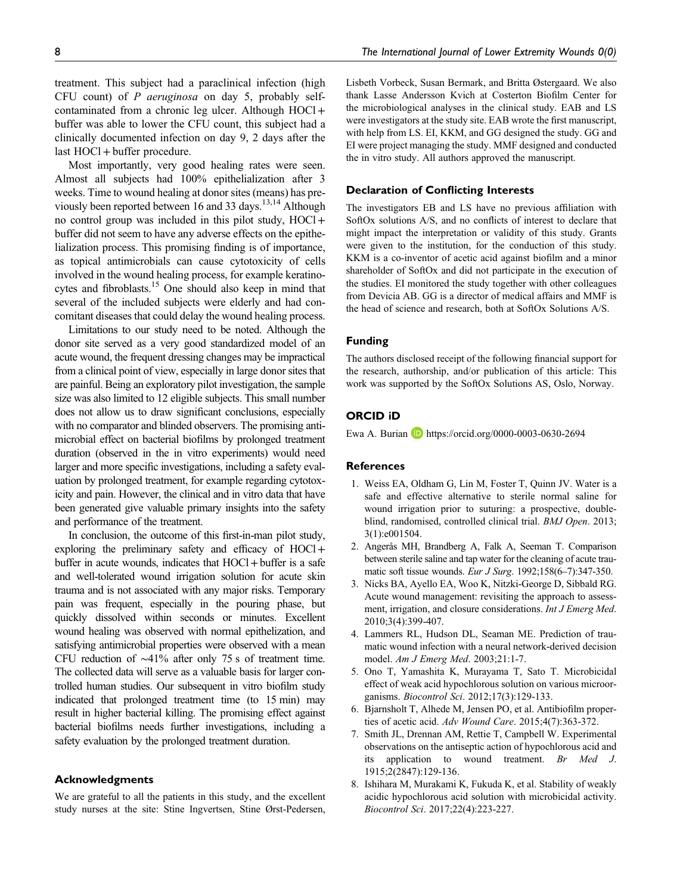treatment. This subject had a paraclinical infection (high CFU count) of P aeruginosa on day 5, probably selfcontaminated from a chronic leg ulcer. Although HOCl+ buffer was able to lower the CFU count, this subject had a clinically documented infection on day 9, 2 days after the last HOCl + buffer procedure.

Most importantly, very good healing rates were seen. Almost all subjects had 100% epithelialization after 3 weeks. Time to wound healing at donor sites (means) has previously been reported between 16 and 33 days.<sup>13,14</sup> Although no control group was included in this pilot study,  $HOCl +$ buffer did not seem to have any adverse effects on the epithelialization process. This promising finding is of importance, as topical antimicrobials can cause cytotoxicity of cells involved in the wound healing process, for example keratinocytes and fibroblasts.<sup>15</sup> One should also keep in mind that several of the included subjects were elderly and had concomitant diseases that could delay the wound healing process.

Limitations to our study need to be noted. Although the donor site served as a very good standardized model of an acute wound, the frequent dressing changes may be impractical from a clinical point of view, especially in large donor sites that are painful. Being an exploratory pilot investigation, the sample size was also limited to 12 eligible subjects. This small number does not allow us to draw significant conclusions, especially with no comparator and blinded observers. The promising antimicrobial effect on bacterial biofilms by prolonged treatment duration (observed in the in vitro experiments) would need larger and more specific investigations, including a safety evaluation by prolonged treatment, for example regarding cytotoxicity and pain. However, the clinical and in vitro data that have been generated give valuable primary insights into the safety and performance of the treatment.

In conclusion, the outcome of this first-in-man pilot study, exploring the preliminary safety and efficacy of  $HOCl +$ buffer in acute wounds, indicates that  $HOCI + buffer$  is a safe and well-tolerated wound irrigation solution for acute skin trauma and is not associated with any major risks. Temporary pain was frequent, especially in the pouring phase, but quickly dissolved within seconds or minutes. Excellent wound healing was observed with normal epithelization, and satisfying antimicrobial properties were observed with a mean CFU reduction of ∼41% after only 75 s of treatment time. The collected data will serve as a valuable basis for larger controlled human studies. Our subsequent in vitro biofilm study indicated that prolonged treatment time (to 15 min) may result in higher bacterial killing. The promising effect against bacterial biofilms needs further investigations, including a safety evaluation by the prolonged treatment duration.

#### Acknowledgments

We are grateful to all the patients in this study, and the excellent study nurses at the site: Stine Ingvertsen, Stine Ørst-Pedersen, Lisbeth Vorbeck, Susan Bermark, and Britta Østergaard. We also thank Lasse Andersson Kvich at Costerton Biofilm Center for the microbiological analyses in the clinical study. EAB and LS were investigators at the study site. EAB wrote the first manuscript, with help from LS. EI, KKM, and GG designed the study. GG and EI were project managing the study. MMF designed and conducted the in vitro study. All authors approved the manuscript.

#### Declaration of Conflicting Interests

The investigators EB and LS have no previous affiliation with SoftOx solutions A/S, and no conflicts of interest to declare that might impact the interpretation or validity of this study. Grants were given to the institution, for the conduction of this study. KKM is a co-inventor of acetic acid against biofilm and a minor shareholder of SoftOx and did not participate in the execution of the studies. EI monitored the study together with other colleagues from Devicia AB. GG is a director of medical affairs and MMF is the head of science and research, both at SoftOx Solutions A/S.

#### Funding

The authors disclosed receipt of the following financial support for the research, authorship, and/or publication of this article: This work was supported by the SoftOx Solutions AS, Oslo, Norway.

## ORCID iD

Ewa A. Burian **D** <https://orcid.org/0000-0003-0630-2694>

#### **References**

- 1. Weiss EA, Oldham G, Lin M, Foster T, Quinn JV. Water is a safe and effective alternative to sterile normal saline for wound irrigation prior to suturing: a prospective, doubleblind, randomised, controlled clinical trial. BMJ Open. 2013; 3(1):e001504.
- 2. Angerås MH, Brandberg A, Falk A, Seeman T. Comparison between sterile saline and tap water for the cleaning of acute traumatic soft tissue wounds. Eur J Surg. 1992;158(6–7):347-350.
- 3. Nicks BA, Ayello EA, Woo K, Nitzki-George D, Sibbald RG. Acute wound management: revisiting the approach to assessment, irrigation, and closure considerations. *Int J Emerg Med.* 2010;3(4):399-407.
- 4. Lammers RL, Hudson DL, Seaman ME. Prediction of traumatic wound infection with a neural network-derived decision model. Am J Emerg Med. 2003;21:1-7.
- 5. Ono T, Yamashita K, Murayama T, Sato T. Microbicidal effect of weak acid hypochlorous solution on various microorganisms. Biocontrol Sci. 2012;17(3):129-133.
- 6. Bjarnsholt T, Alhede M, Jensen PO, et al. Antibiofilm properties of acetic acid. Adv Wound Care. 2015;4(7):363-372.
- 7. Smith JL, Drennan AM, Rettie T, Campbell W. Experimental observations on the antiseptic action of hypochlorous acid and its application to wound treatment. Br Med J. 1915;2(2847):129-136.
- 8. Ishihara M, Murakami K, Fukuda K, et al. Stability of weakly acidic hypochlorous acid solution with microbicidal activity. Biocontrol Sci. 2017;22(4):223-227.